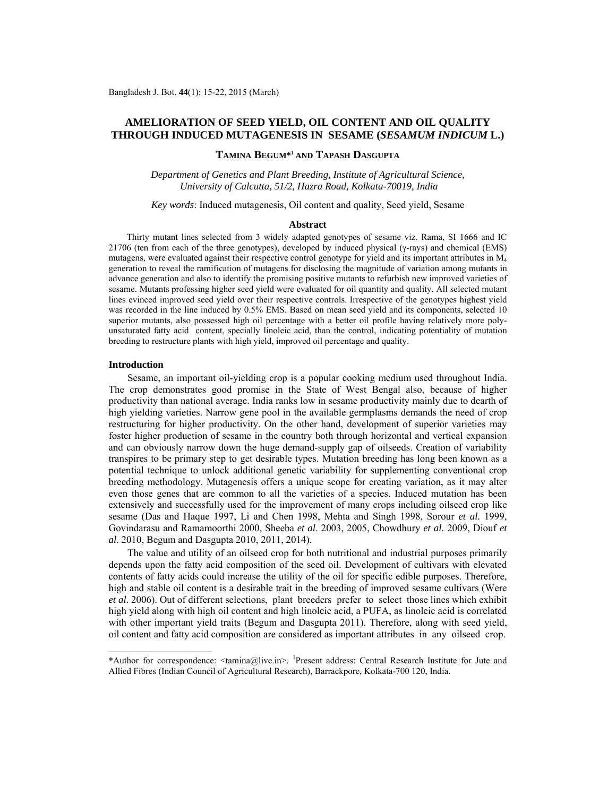# **AMELIORATION OF SEED YIELD, OIL CONTENT AND OIL QUALITY THROUGH INDUCED MUTAGENESIS IN SESAME (***SESAMUM INDICUM* **L.)**

## **TAMINA BEGUM\*1 AND TAPASH DASGUPTA**

*Department of Genetics and Plant Breeding, Institute of Agricultural Science, University of Calcutta, 51/2, Hazra Road, Kolkata-70019, India* 

*Key words*: Induced mutagenesis, Oil content and quality, Seed yield, Sesame

#### **Abstract**

 Thirty mutant lines selected from 3 widely adapted genotypes of sesame viz. Rama, SI 1666 and IC 21706 (ten from each of the three genotypes), developed by induced physical (γ-rays) and chemical (EMS) mutagens, were evaluated against their respective control genotype for yield and its important attributes in  $M<sub>4</sub>$ generation to reveal the ramification of mutagens for disclosing the magnitude of variation among mutants in advance generation and also to identify the promising positive mutants to refurbish new improved varieties of sesame. Mutants professing higher seed yield were evaluated for oil quantity and quality. All selected mutant lines evinced improved seed yield over their respective controls. Irrespective of the genotypes highest yield was recorded in the line induced by 0.5% EMS. Based on mean seed yield and its components, selected 10 superior mutants, also possessed high oil percentage with a better oil profile having relatively more polyunsaturated fatty acid content, specially linoleic acid, than the control, indicating potentiality of mutation breeding to restructure plants with high yield, improved oil percentage and quality.

### **Introduction**

 Sesame, an important oil-yielding crop is a popular cooking medium used throughout India. The crop demonstrates good promise in the State of West Bengal also, because of higher productivity than national average. India ranks low in sesame productivity mainly due to dearth of high yielding varieties. Narrow gene pool in the available germplasms demands the need of crop restructuring for higher productivity. On the other hand, development of superior varieties may foster higher production of sesame in the country both through horizontal and vertical expansion and can obviously narrow down the huge demand-supply gap of oilseeds. Creation of variability transpires to be primary step to get desirable types. Mutation breeding has long been known as a potential technique to unlock additional genetic variability for supplementing conventional crop breeding methodology. Mutagenesis offers a unique scope for creating variation, as it may alter even those genes that are common to all the varieties of a species. Induced mutation has been extensively and successfully used for the improvement of many crops including oilseed crop like sesame (Das and Haque 1997, Li and Chen 1998, Mehta and Singh 1998, Sorour *et al.* 1999, Govindarasu and Ramamoorthi 2000, Sheeba *et al*. 2003, 2005, Chowdhury *et al.* 2009, Diouf *et al*. 2010, Begum and Dasgupta 2010, 2011, 2014).

 The value and utility of an oilseed crop for both nutritional and industrial purposes primarily depends upon the fatty acid composition of the seed oil. Development of cultivars with elevated contents of fatty acids could increase the utility of the oil for specific edible purposes. Therefore, high and stable oil content is a desirable trait in the breeding of improved sesame cultivars (Were *et al*. 2006). Out of different selections, plant breeders prefer to select those lines which exhibit high yield along with high oil content and high linoleic acid, a PUFA, as linoleic acid is correlated with other important yield traits (Begum and Dasgupta 2011). Therefore, along with seed yield, oil content and fatty acid composition are considered as important attributes in any oilseed crop.

<sup>\*</sup>Author for correspondence: <tamina@live.in>. <sup>1</sup> Present address: Central Research Institute for Jute and Allied Fibres (Indian Council of Agricultural Research), Barrackpore, Kolkata-700 120, India.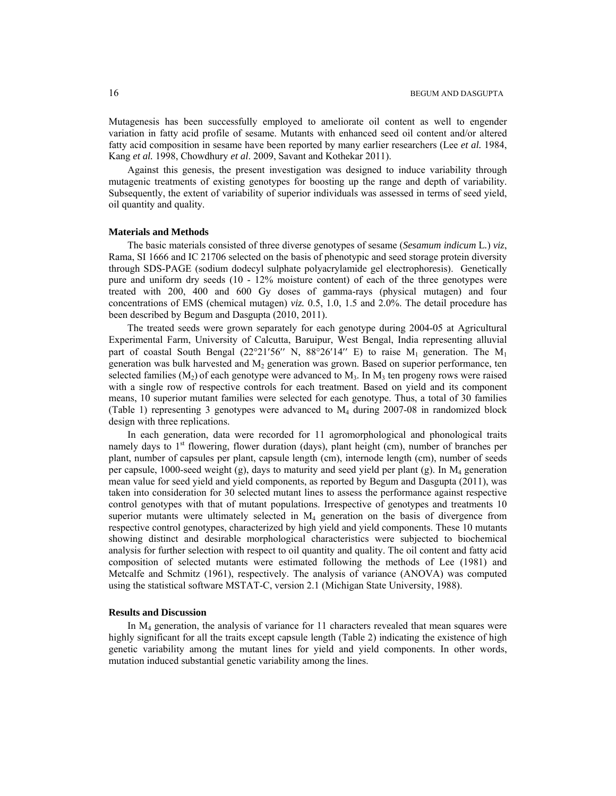Mutagenesis has been successfully employed to ameliorate oil content as well to engender variation in fatty acid profile of sesame. Mutants with enhanced seed oil content and/or altered fatty acid composition in sesame have been reported by many earlier researchers (Lee *et al.* 1984, Kang *et al.* 1998, Chowdhury *et al*. 2009, Savant and Kothekar 2011).

 Against this genesis, the present investigation was designed to induce variability through mutagenic treatments of existing genotypes for boosting up the range and depth of variability. Subsequently, the extent of variability of superior individuals was assessed in terms of seed yield, oil quantity and quality.

## **Materials and Methods**

 The basic materials consisted of three diverse genotypes of sesame (*Sesamum indicum* L*.*) *viz*, Rama, SI 1666 and IC 21706 selected on the basis of phenotypic and seed storage protein diversity through SDS-PAGE (sodium dodecyl sulphate polyacrylamide gel electrophoresis). Genetically pure and uniform dry seeds (10 - 12% moisture content) of each of the three genotypes were treated with 200, 400 and 600 Gy doses of gamma-rays (physical mutagen) and four concentrations of EMS (chemical mutagen) *viz.* 0.5, 1.0, 1.5 and 2.0%. The detail procedure has been described by Begum and Dasgupta (2010, 2011).

 The treated seeds were grown separately for each genotype during 2004-05 at Agricultural Experimental Farm, University of Calcutta, Baruipur, West Bengal, India representing alluvial part of coastal South Bengal (22°21′56′′ N, 88°26′14′′ E) to raise  $M_1$  generation. The  $M_1$ generation was bulk harvested and  $M<sub>2</sub>$  generation was grown. Based on superior performance, ten selected families  $(M_2)$  of each genotype were advanced to  $M_3$ . In  $M_3$  ten progeny rows were raised with a single row of respective controls for each treatment. Based on yield and its component means, 10 superior mutant families were selected for each genotype. Thus, a total of 30 families (Table 1) representing 3 genotypes were advanced to M4 during 2007-08 in randomized block design with three replications.

 In each generation, data were recorded for 11 agromorphological and phonological traits namely days to  $1<sup>st</sup>$  flowering, flower duration (days), plant height (cm), number of branches per plant, number of capsules per plant, capsule length (cm), internode length (cm), number of seeds per capsule, 1000-seed weight (g), days to maturity and seed yield per plant (g). In  $M<sub>4</sub>$  generation mean value for seed yield and yield components, as reported by Begum and Dasgupta (2011), was taken into consideration for 30 selected mutant lines to assess the performance against respective control genotypes with that of mutant populations. Irrespective of genotypes and treatments 10 superior mutants were ultimately selected in  $M<sub>4</sub>$  generation on the basis of divergence from respective control genotypes, characterized by high yield and yield components. These 10 mutants showing distinct and desirable morphological characteristics were subjected to biochemical analysis for further selection with respect to oil quantity and quality. The oil content and fatty acid composition of selected mutants were estimated following the methods of Lee (1981) and Metcalfe and Schmitz (1961), respectively. The analysis of variance (ANOVA) was computed using the statistical software MSTAT-C, version 2.1 (Michigan State University, 1988).

### **Results and Discussion**

 In M4 generation, the analysis of variance for 11 characters revealed that mean squares were highly significant for all the traits except capsule length (Table 2) indicating the existence of high genetic variability among the mutant lines for yield and yield components. In other words, mutation induced substantial genetic variability among the lines.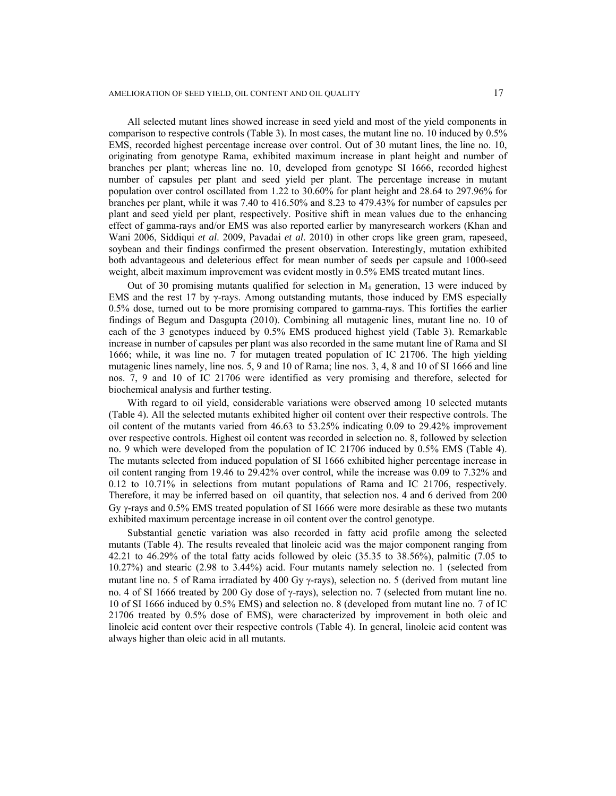All selected mutant lines showed increase in seed yield and most of the yield components in comparison to respective controls (Table 3). In most cases, the mutant line no. 10 induced by 0.5% EMS, recorded highest percentage increase over control. Out of 30 mutant lines, the line no. 10, originating from genotype Rama, exhibited maximum increase in plant height and number of branches per plant; whereas line no. 10, developed from genotype SI 1666, recorded highest number of capsules per plant and seed yield per plant. The percentage increase in mutant population over control oscillated from 1.22 to 30.60% for plant height and 28.64 to 297.96% for branches per plant, while it was 7.40 to 416.50% and 8.23 to 479.43% for number of capsules per plant and seed yield per plant, respectively. Positive shift in mean values due to the enhancing effect of gamma-rays and/or EMS was also reported earlier by manyresearch workers (Khan and Wani 2006, Siddiqui *et al*. 2009, Pavadai *et al*. 2010) in other crops like green gram, rapeseed, soybean and their findings confirmed the present observation. Interestingly, mutation exhibited both advantageous and deleterious effect for mean number of seeds per capsule and 1000-seed weight, albeit maximum improvement was evident mostly in 0.5% EMS treated mutant lines.

Out of 30 promising mutants qualified for selection in  $M<sub>4</sub>$  generation, 13 were induced by EMS and the rest 17 by  $\gamma$ -rays. Among outstanding mutants, those induced by EMS especially 0.5% dose, turned out to be more promising compared to gamma-rays. This fortifies the earlier findings of Begum and Dasgupta (2010). Combining all mutagenic lines, mutant line no. 10 of each of the 3 genotypes induced by 0.5% EMS produced highest yield (Table 3). Remarkable increase in number of capsules per plant was also recorded in the same mutant line of Rama and SI 1666; while, it was line no. 7 for mutagen treated population of IC 21706. The high yielding mutagenic lines namely, line nos. 5, 9 and 10 of Rama; line nos. 3, 4, 8 and 10 of SI 1666 and line nos. 7, 9 and 10 of IC 21706 were identified as very promising and therefore, selected for biochemical analysis and further testing.

 With regard to oil yield, considerable variations were observed among 10 selected mutants (Table 4). All the selected mutants exhibited higher oil content over their respective controls. The oil content of the mutants varied from 46.63 to 53.25% indicating 0.09 to 29.42% improvement over respective controls. Highest oil content was recorded in selection no. 8, followed by selection no. 9 which were developed from the population of IC 21706 induced by 0.5% EMS (Table 4). The mutants selected from induced population of SI 1666 exhibited higher percentage increase in oil content ranging from 19.46 to 29.42% over control, while the increase was 0.09 to 7.32% and 0.12 to 10.71% in selections from mutant populations of Rama and IC 21706, respectively. Therefore, it may be inferred based on oil quantity, that selection nos. 4 and 6 derived from 200 Gy γ-rays and 0.5% EMS treated population of SI 1666 were more desirable as these two mutants exhibited maximum percentage increase in oil content over the control genotype.

 Substantial genetic variation was also recorded in fatty acid profile among the selected mutants (Table 4). The results revealed that linoleic acid was the major component ranging from 42.21 to 46.29% of the total fatty acids followed by oleic (35.35 to 38.56%), palmitic (7.05 to 10.27%) and stearic (2.98 to 3.44%) acid. Four mutants namely selection no. 1 (selected from mutant line no. 5 of Rama irradiated by 400 Gy  $\gamma$ -rays), selection no. 5 (derived from mutant line no. 4 of SI 1666 treated by 200 Gy dose of γ-rays), selection no. 7 (selected from mutant line no. 10 of SI 1666 induced by 0.5% EMS) and selection no. 8 (developed from mutant line no. 7 of IC 21706 treated by 0.5% dose of EMS), were characterized by improvement in both oleic and linoleic acid content over their respective controls (Table 4). In general, linoleic acid content was always higher than oleic acid in all mutants.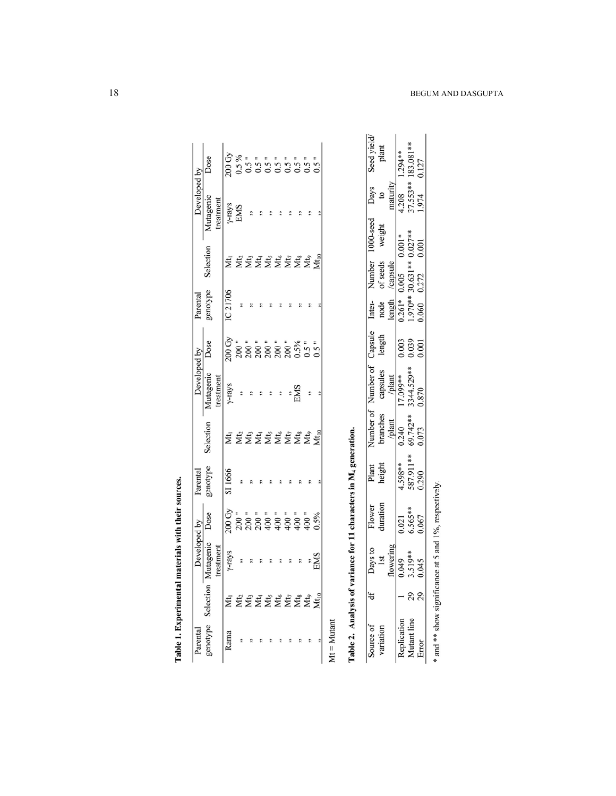|      |                            | <b>Developed by</b> |                                                                                                                                                                                                                                                                                                  | Parental |           | Developed by          |                                                                      | Parental |          | Developed by  |      |
|------|----------------------------|---------------------|--------------------------------------------------------------------------------------------------------------------------------------------------------------------------------------------------------------------------------------------------------------------------------------------------|----------|-----------|-----------------------|----------------------------------------------------------------------|----------|----------|---------------|------|
|      |                            | itagenio            | Dose                                                                                                                                                                                                                                                                                             | genotype | selection | Mutagenic             | Dose                                                                 | genotype | election | vutagenic     | Dose |
|      |                            | treatmen            |                                                                                                                                                                                                                                                                                                  |          |           | treatmen <sup>®</sup> |                                                                      |          |          | reatment      |      |
| kama |                            | y-rays              | $\frac{5}{20}$ = $\frac{1}{20}$ = $\frac{1}{20}$ = $\frac{1}{20}$ = $\frac{1}{20}$ = $\frac{1}{20}$ = $\frac{1}{20}$ = $\frac{1}{20}$ = $\frac{1}{20}$ = $\frac{1}{20}$ = $\frac{1}{20}$ = $\frac{1}{20}$ = $\frac{1}{20}$ = $\frac{1}{20}$ = $\frac{1}{20}$ = $\frac{1}{20}$ = $\frac{1}{20}$ = | SI 1666  |           |                       |                                                                      | C 21706  |          |               |      |
|      |                            |                     |                                                                                                                                                                                                                                                                                                  |          |           | $y$ -rays             |                                                                      | \$       |          | y-rays<br>EMS |      |
|      |                            |                     |                                                                                                                                                                                                                                                                                                  |          |           | $\ddot{\phantom{0}}$  |                                                                      |          |          |               |      |
|      |                            |                     |                                                                                                                                                                                                                                                                                                  |          |           |                       |                                                                      |          |          |               |      |
|      |                            |                     |                                                                                                                                                                                                                                                                                                  |          |           |                       |                                                                      |          |          |               |      |
|      |                            |                     |                                                                                                                                                                                                                                                                                                  |          |           |                       |                                                                      |          |          |               |      |
|      |                            |                     |                                                                                                                                                                                                                                                                                                  |          |           | $\sum_{i=1}^{n}$      |                                                                      |          |          |               |      |
|      |                            |                     |                                                                                                                                                                                                                                                                                                  |          |           |                       |                                                                      |          |          |               |      |
|      | <b>¤Exander</b><br>Exander |                     |                                                                                                                                                                                                                                                                                                  |          |           | e,                    | ភិ៖ ៖ ៖ ៖ ៖ ៖ »<br>១, ខេត្ត ខេត្ត ខេត្ត »<br>ស្ថិត ខេត្ត ខេត្ត ខេត្ត |          |          |               |      |
|      |                            | EMS<br>EMS          |                                                                                                                                                                                                                                                                                                  |          |           |                       |                                                                      |          |          |               |      |

Table 1. Experimental materials with their sources.

Table 2. Analysis of variance for 11 characters in M4 generation.

|                       |                                                                 | Flower<br>duration                                       | Plant<br>height             | Number of Number of Capsule<br>branches capsules length<br><i>b</i> ]ant <i>h</i> ]ant plant<br>0.240 17.099** 0.003<br>69.742** 3344.529** 0.039<br>0.073 0.870 |                                                                            | Number 1000-se<br>of seeds weigh<br>/capsule<br>0.005 0.001*<br>0.0372 0.001 | 1000-seed<br>weight | Days<br>to<br>maturity<br>$\frac{1}{4.208}$<br>37.553**<br>1.974 | Seed yield/<br>plant            |
|-----------------------|-----------------------------------------------------------------|----------------------------------------------------------|-----------------------------|------------------------------------------------------------------------------------------------------------------------------------------------------------------|----------------------------------------------------------------------------|------------------------------------------------------------------------------|---------------------|------------------------------------------------------------------|---------------------------------|
|                       |                                                                 |                                                          |                             |                                                                                                                                                                  |                                                                            |                                                                              |                     |                                                                  |                                 |
|                       |                                                                 |                                                          |                             |                                                                                                                                                                  |                                                                            |                                                                              |                     |                                                                  |                                 |
|                       | Days to<br>Ist<br>Ist<br>flowering<br>0.045<br>3.519**<br>0.045 |                                                          | $\frac{4.598**}{587.911**}$ |                                                                                                                                                                  | Inter-<br>node<br>$\frac{\text{length}}{0.261*}$<br>$1.970**$<br>$1.970**$ |                                                                              |                     |                                                                  |                                 |
|                       |                                                                 | $\begin{array}{c} 0.021 \\ 6.565** \\ 0.067 \end{array}$ |                             |                                                                                                                                                                  |                                                                            |                                                                              |                     |                                                                  | $1.294**$<br>183.081**<br>0.127 |
|                       |                                                                 |                                                          |                             |                                                                                                                                                                  |                                                                            |                                                                              |                     |                                                                  |                                 |
| and ** show significa |                                                                 | nce at 5 and 1%, respectively                            |                             |                                                                                                                                                                  |                                                                            |                                                                              |                     |                                                                  |                                 |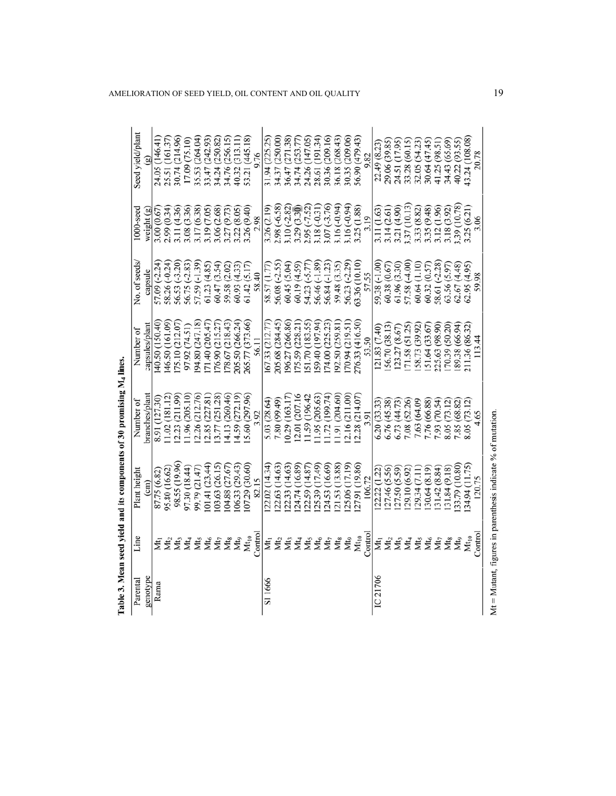| Parental           | Line                                                  | Plant height                                                | Number of      | Number of        | No. of seeds                                                     | $1000$ -seed                                                                                                         | Seed yield/plant |
|--------------------|-------------------------------------------------------|-------------------------------------------------------------|----------------|------------------|------------------------------------------------------------------|----------------------------------------------------------------------------------------------------------------------|------------------|
| genotype           |                                                       | $\left( \text{cm}\right)$                                   | branches/plant | capsules/plant   | capsule                                                          | weight (g)                                                                                                           |                  |
| Rama               | ξ                                                     | 87.75 (6.82)                                                | 8.91 (127.30)  | 40.50 (150.40)   | 57.09 (-2.24)                                                    | 3.00 (0.67                                                                                                           | 24.05 (146.41)   |
|                    | Μt <sub>2</sub>                                       | 95.80 (16.62)                                               | 11.02(181.12)  | 146.50 (161.09)  | 58.26 (-0.24)                                                    | 2.99 (0.34)                                                                                                          | 25.51 (161.37)   |
|                    | Μt <sub>3</sub>                                       | 98.55 (19.96)                                               | 2.23 (211.99)  | (75.10 (212.07)  | 56.53 (-3.20)<br>56.75 (-2.83)                                   | 3.11 (4.36)                                                                                                          | 30.74 (214.96)   |
|                    | Μt <sub>4</sub>                                       | 97.30 (18.44)                                               | 11.96 (205.10) | 97.92 (74.51)    |                                                                  |                                                                                                                      | 17.09 (75.10)    |
|                    | Mt <sub>5</sub>                                       | 99.79 (21.47)                                               | 12.26 (212.76) | 04.80 (247.18)   | 57.59 (-1.39)                                                    | 3.08 (3.36)<br>3.17 (6.38)<br>3.19 (7.05)                                                                            | 35.53 (264.04)   |
|                    | $Mt_6$                                                | 101.41 (23.44)                                              | (2.85(227.81)) | 171.40(205.47)   | 61.23 (4.85)                                                     |                                                                                                                      | 33.47 (242.93)   |
|                    | $Mt_7$                                                | 103.63 (26.15)                                              | 3.77 (251.28)  | (76.90(215.27))  | 60.47 (3.54)                                                     | 3.06 (2.68)                                                                                                          | 34.24 (250.82)   |
|                    | Mts                                                   | 104.88 (27.67)                                              | 4.13 (260.46)  | (78.67(218.43)   | 59.58 (2.02)                                                     | 3.27 (9.73)                                                                                                          | 34.76 (256.15)   |
|                    | Mtq                                                   | 106.33 (29.43)                                              | 4.59 (272.19)  | 205.50 (266.24)  | 60.93(4.33)                                                      | 3.22 (8.05)                                                                                                          | 40.32 (313.11)   |
|                    | $Mt_{10}$                                             | (07.29(30.60))                                              | 5.60 (297.96)  | 265.77 (373.66)  | 61.42 (5.17)                                                     | 3.26 (9.40)                                                                                                          | 53.21 (445.18)   |
|                    | Contro                                                | 82.15                                                       | 3.92           | 56.11            | 58.40                                                            | 2.98                                                                                                                 | 9.76             |
| SI <sub>1666</sub> | ź                                                     | 22.02 (14.34)                                               | 5.03 (28.64)   | 67.33 (212.77)   | 58.57 (1.77                                                      | 3.26 (2.19)                                                                                                          | 31.94 (225.25)   |
|                    | Mt <sub>2</sub>                                       | 122.63 (14.63)                                              | 7.80 (99.49)   | 205.68 (284.45)  | 56.08 (-2.55)                                                    | 2.98 (-6.58)                                                                                                         | 34.37 (250.00)   |
|                    | Mt <sub>3</sub>                                       | [22.33(14.63)]                                              | 10.29 (163.17) | 196.27 (266.86)  |                                                                  | $3.10(-2.82)$                                                                                                        | 36.47 (271.38)   |
|                    | Μt <sub>4</sub>                                       | 124.74 (16.89)                                              | 12.01 (207.16) | [75.59 (228.21)  |                                                                  |                                                                                                                      | 34.74 (253.77)   |
|                    |                                                       | 122.59 (14.87)                                              | 11.59 (196.42  | [51.70 (183.55)  | 60.45 (5.04)<br>60.19 (4.59)<br>54.23 (-5.77)                    | $\begin{array}{c} 3.29 \ (3.30) \\ 2.95 \ (-7.52) \\ 3.18 \ (-0.31) \\ 3.07 \ (-3.76) \\ 3.16 \ (-0.94) \end{array}$ | 24.26 (147.05)   |
|                    | Mt <sub>s</sub><br>Mt <sub>5</sub><br>Mt <sub>7</sub> | (17.49) (15.39)                                             | 11.95 (205.63) | (197.94)         | 56.46 (-1.89)                                                    |                                                                                                                      | 28.61 (191.34)   |
|                    |                                                       | 124.53 (16.69)                                              | (1.72(199.74)  | (74.00 (225.23)  | 56.84 (-1.23)                                                    |                                                                                                                      | 30.36 (209.16)   |
|                    |                                                       | 21.53 (13.88)                                               | (1.91(204.60)) | [92.50 (259.81)  | 59.48 (3.35)<br>56.23 (-2.29)                                    |                                                                                                                      | 36.18 (268.43)   |
|                    | Mto                                                   | 25.06 (17.19)                                               | 2.16 (211.00)  | (70.94 (219.51)) |                                                                  | $0.16(-0.94)$                                                                                                        | 30.35 (209.06)   |
|                    | Mt <sub>10</sub>                                      | 27.91 (19.86)                                               | 2.28 (214.07)  | 276.33 (416.50)  | 53.36 (10.10)                                                    | 3.25 (1.88)                                                                                                          | 56.90 (479.43)   |
|                    | Contro                                                | 106.72                                                      | 3.91           | 53.50            | 57.55                                                            | 3.19                                                                                                                 | 9.82             |
| IC 21706           | ΣÍ                                                    | 22.22 (1.22)                                                | 5.20 (33.33)   | 121.83(7.40)     | 59.38 (-1.00)                                                    | 3.11 (1.63)                                                                                                          | 22.49 (8.23)     |
|                    | $Mt_2$                                                | 127.46 (5.56)                                               | 6.76 (45.38)   | 56.70 (38.13)    | 60.38 (0.67)                                                     | 3.14 (2.61)                                                                                                          | 29.06 (39.85)    |
|                    | Mt <sub>3</sub>                                       | 127.50 (5.59)                                               | 6.73 (44.73)   | 123.27 (8.67)    | 61.96 (3.30)                                                     | 3.21 (4.90)                                                                                                          | 24.51 (17.95)    |
|                    | Μt <sub>4</sub>                                       | 129.10 (6.92)                                               | 7.08 (52.26)   | 171.58 (51.25)   | 57.58 (-4.00)                                                    | 3.37 (10.13)                                                                                                         | 33.28 (60.15)    |
|                    | Mt <sub>5</sub>                                       | 129.34 (7.11)                                               | 7.63 (64.09    | 58.73 (39.92)    | 60.64 (1.10)                                                     | 3.33 (8.82)                                                                                                          | 32.05 (54.23)    |
|                    |                                                       | 30.64 (8.19)                                                | 7.76 (66.88)   | 51.64 (33.67     | $\begin{array}{c} 60.32 \ (0.57) \\ 58.61 \ (-2.28) \end{array}$ | 3.35 (9.48)                                                                                                          | 30.64 (47.45)    |
|                    | $Mt_7$                                                | .31.42(8.84)                                                | 7.93 (70.54)   | 225.63 (98.90)   |                                                                  | 3.12 (1.96)                                                                                                          | 41.25 (98.51)    |
|                    | Mts                                                   | 131.84 (9.18)                                               | 8.05 (73.12)   | 170.39 (50.20)   | 63.56 (5.97)                                                     | 3.18 (3.92)                                                                                                          | 34.43 (65.69)    |
|                    | Mtq                                                   | 33.79 (10.80)                                               | 7.85 (68.82)   | 89.38 (66.94)    | 62.67 (4.48)                                                     | 8.39 (10.78)                                                                                                         | 40.22 (93.55)    |
|                    |                                                       | 34.94 (11.75)                                               | 8.05 (73.12)   | 211.36 (86.32)   | 62.95(4.95)                                                      | 3.25 (6.21)                                                                                                          | 43.24 (108.08)   |
|                    | Control                                               | 120.75                                                      | 4.65           | 113.44           | 59.98                                                            | 3.06                                                                                                                 | 20.78            |
|                    |                                                       | Mt = Mutant, figures in parenthesis indicate % of mutation. |                |                  |                                                                  |                                                                                                                      |                  |

Table 3. Mean seed yield and its components of 30 promising M4 lines.

AMELIORATION OF SEED YIELD, OIL CONTENT AND OIL QUALITY 19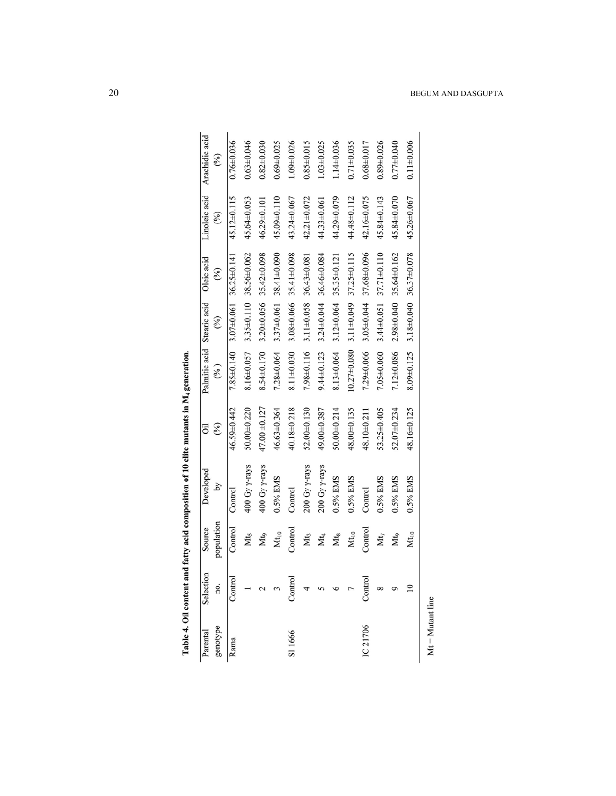| Arachidic acid<br>(%)                   | $0.76 + 0.036$                 | $0.63 + 0.046$         | $0.82 + 0.030$                    | $0.69 + 0.025$         | $1.09 + 0.026$             | $0.85 \pm 0.015$           | $1.03 + 0.025$        | $1.14 \pm 0.036$                  | $0.71 + 0.035$    | $0.68 + 0.017$         | $0.89 + 0.026$                 | $0.77 + 0.040$   | $0.11 + 0.006$                    |
|-----------------------------------------|--------------------------------|------------------------|-----------------------------------|------------------------|----------------------------|----------------------------|-----------------------|-----------------------------------|-------------------|------------------------|--------------------------------|------------------|-----------------------------------|
| Linoleic acid<br>(%)                    | 45.12±0.115                    | 45.64±0.053            | 46.29±0.101                       | 45.09±0.110            | 43.24±0.067                | 42.21±0.072                | 44.33±0.061           | 44.29±0.079                       | 44.48±0.112       | 42.16±0.075            | 45.84±0.143                    | 45.84±0.070      | 45.26±0.067                       |
| Oleic acid<br>(%)                       | $3.07\pm0.061$ $36.25\pm0.141$ | 3.35±0.110 38.56±0.062 | 8.54±0.170 3.20±0.056 35.42±0.098 | 3.37±0.061 38.41±0.090 | $3.08\pm0.066$ 35.41±0.098 | $3.11\pm0.058$ 36.43±0.081 | 36.46±0.084           | 8.13±0.064 3.12±0.064 35.35±0.121 | 37.25±0.115       | 3.05±0.044 37.68±0.096 | $3.44\pm0.051$ $37.71\pm0.110$ | 35.64±0.162      | 8.09±0.125 3.18±0.040 36.37±0.078 |
| (%)                                     |                                |                        |                                   |                        |                            |                            | $3.24 \pm 0.044$      |                                   | $3.11 \pm 0.049$  |                        |                                | $2.98 + 0.040$   |                                   |
| Palmitic acid Stearic acid<br>$($ % $)$ | $7.85 \pm 0.140$               | 8.16±0.057             |                                   | 7.28±0.064             | 8.11±0.030                 | 1.98±0.116                 | $9.44 \pm 0.123$      |                                   | $10.27 \pm 0.080$ | 7.29±0.066             | $7.05 \pm 0.060$               | $7.12 \pm 0.086$ |                                   |
| $(\%)$<br>öil                           | 46.59±0.442                    | $50.00 + 0.220$        | 47.00 ±0.127                      | 46.63±0.364            | 40.18±0.218                | 52.00±0.130                | 49.0000.387           | 50.00±0.214                       | 48.00±0.135       | 48.10±0.211            | 53.25±0.405                    | 52.07±0.234      | 48.16±0.125                       |
| Developed<br>λĀ                         | Control                        | 400 Gy $\gamma$ -rays  | 400 Gy $\gamma$ -rays             | 0.5% EMS               | Control                    | 200 Gy $\gamma$ -rays      | 200 Gy $\gamma$ -rays | 0.5% EMS                          | 0.5% EMS          | Control                | 0.5% EMS                       | 0.5% EMS         | 0.5% EMS                          |
| population<br>Source                    | Control                        | Mt <sub>5</sub>        | Mt.                               | Mt <sub>10</sub>       | Control                    | Mt,                        | Мt4                   | Mt <sub>s</sub>                   | $Mt_{10}$         | Control                | Mt <sub>7</sub>                | Mto              | Mt <sub>10</sub>                  |
| Selection<br>no.                        | Control                        |                        |                                   |                        | Control                    |                            |                       |                                   |                   | Control                |                                |                  |                                   |
| genotype<br>Parental                    | Rama                           |                        |                                   |                        | SI 1666                    |                            |                       |                                   |                   | IC 21706               |                                |                  |                                   |

| I<br>ļ         |
|----------------|
|                |
|                |
|                |
| I<br>j         |
|                |
|                |
|                |
|                |
|                |
|                |
|                |
|                |
| $\overline{a}$ |
|                |

 $Mt = Mutant line$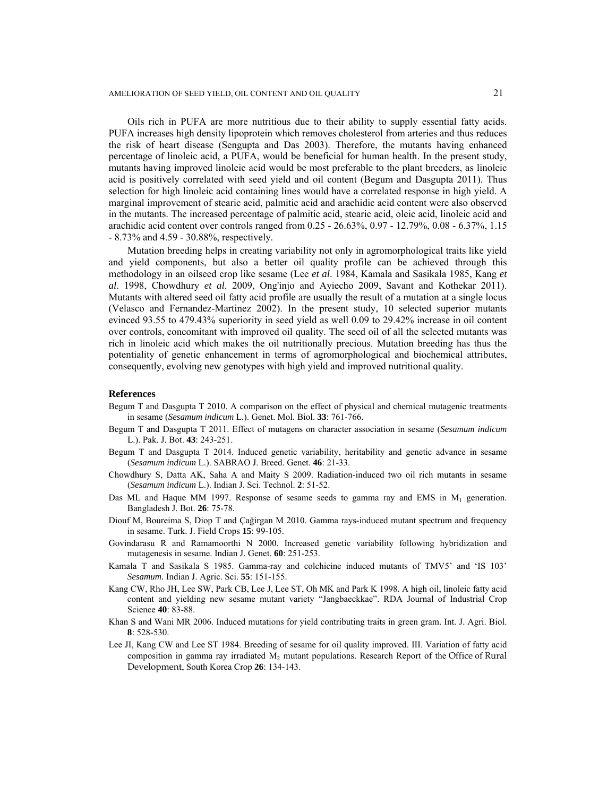Oils rich in PUFA are more nutritious due to their ability to supply essential fatty acids. PUFA increases high density lipoprotein which removes cholesterol from arteries and thus reduces the risk of heart disease (Sengupta and Das 2003). Therefore, the mutants having enhanced percentage of linoleic acid, a PUFA, would be beneficial for human health. In the present study, mutants having improved linoleic acid would be most preferable to the plant breeders, as linoleic acid is positively correlated with seed yield and oil content (Begum and Dasgupta 2011). Thus selection for high linoleic acid containing lines would have a correlated response in high yield. A marginal improvement of stearic acid, palmitic acid and arachidic acid content were also observed in the mutants. The increased percentage of palmitic acid, stearic acid, oleic acid, linoleic acid and arachidic acid content over controls ranged from 0.25 - 26.63%, 0.97 - 12.79%, 0.08 - 6.37%, 1.15 - 8.73% and 4.59 - 30.88%, respectively.

 Mutation breeding helps in creating variability not only in agromorphological traits like yield and yield components, but also a better oil quality profile can be achieved through this methodology in an oilseed crop like sesame (Lee *et al*. 1984, Kamala and Sasikala 1985, Kang *et al*. 1998, Chowdhury *et al*. 2009, Ong'injo and Ayiecho 2009, Savant and Kothekar 2011). Mutants with altered seed oil fatty acid profile are usually the result of a mutation at a single locus (Velasco and Fernandez-Martinez 2002). In the present study, 10 selected superior mutants evinced 93.55 to 479.43% superiority in seed yield as well 0.09 to 29.42% increase in oil content over controls, concomitant with improved oil quality. The seed oil of all the selected mutants was rich in linoleic acid which makes the oil nutritionally precious. Mutation breeding has thus the potentiality of genetic enhancement in terms of agromorphological and biochemical attributes, consequently, evolving new genotypes with high yield and improved nutritional quality.

#### **References**

- Begum T and Dasgupta T 2010. A comparison on the effect of physical and chemical mutagenic treatments in sesame (*Sesamum indicum* L.). Genet. Mol. Biol. **33**: 761-766.
- Begum T and Dasgupta T 2011. Effect of mutagens on character association in sesame (*Sesamum indicum* L.). Pak. J. Bot. **43**: 243-251.
- Begum T and Dasgupta T 2014. Induced genetic variability, heritability and genetic advance in sesame (*Sesamum indicum* L.). SABRAO J. Breed. Genet. **46**: 21-33.
- Chowdhury S, Datta AK, Saha A and Maity S 2009. Radiation-induced two oil rich mutants in sesame (*Sesamum indicum* L.). Indian J. Sci. Technol. **2**: 51-52.
- Das ML and Haque MM 1997. Response of sesame seeds to gamma ray and EMS in  $M_1$  generation. Bangladesh J. Bot. **26**: 75-78.
- Diouf M, Boureima S, Diop T and Çağirgan M 2010. Gamma rays-induced mutant spectrum and frequency in sesame. Turk. J. Field Crops **15**: 99-105.
- Govindarasu R and Ramamoorthi N 2000. Increased genetic variability following hybridization and mutagenesis in sesame. Indian J. Genet. **60**: 251-253.
- Kamala T and Sasikala S 1985. Gamma-ray and colchicine induced mutants of TMV5' and 'IS 103' *Sesamum.* Indian J. Agric. Sci. **55**: 151-155.
- Kang CW, Rho JH, Lee SW, Park CB, Lee J, Lee ST, Oh MK and Park K 1998. A high oil, linoleic fatty acid content and yielding new sesame mutant variety "Jangbaeckkae". RDA Journal of Industrial Crop Science **40**: 83-88.
- Khan S and Wani MR 2006. Induced mutations for yield contributing traits in green gram. Int. J. Agri. Biol. **8**: 528-530.
- Lee JI, Kang CW and Lee ST 1984. Breeding of sesame for oil quality improved. III. Variation of fatty acid composition in gamma ray irradiated  $M<sub>2</sub>$  mutant populations. Research Report of the Office of Rural Development, South Korea Crop **26**: 134-143.